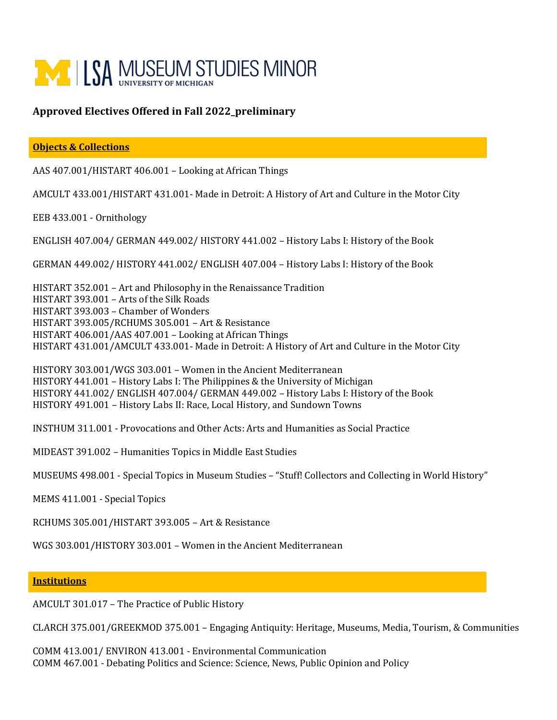

## **Approved Electives Offered in Fall 2022\_preliminary**

## **Objects & Collections**

AAS 407.001/HISTART 406.001 – Looking at African Things

AMCULT 433.001/HISTART 431.001- Made in Detroit: A History of Art and Culture in the Motor City

EEB 433.001 - Ornithology

ENGLISH 407.004/ GERMAN 449.002/ HISTORY 441.002 – History Labs I: History of the Book

GERMAN 449.002/ HISTORY 441.002/ ENGLISH 407.004 – History Labs I: History of the Book

HISTART 352.001 – Art and Philosophy in the Renaissance Tradition HISTART 393.001 – Arts of the Silk Roads HISTART 393.003 – Chamber of Wonders HISTART 393.005/RCHUMS 305.001 – Art & Resistance HISTART 406.001/AAS 407.001 – Looking at African Things HISTART 431.001/AMCULT 433.001- Made in Detroit: A History of Art and Culture in the Motor City

HISTORY 303.001/WGS 303.001 – Women in the Ancient Mediterranean HISTORY 441.001 – History Labs I: The Philippines & the University of Michigan HISTORY 441.002/ ENGLISH 407.004/ GERMAN 449.002 – History Labs I: History of the Book HISTORY 491.001 – History Labs II: Race, Local History, and Sundown Towns

INSTHUM 311.001 - Provocations and Other Acts: Arts and Humanities as Social Practice

MIDEAST 391.002 – Humanities Topics in Middle East Studies

MUSEUMS 498.001 - Special Topics in Museum Studies – "Stuff! Collectors and Collecting in World History"

MEMS 411.001 - Special Topics

RCHUMS 305.001/HISTART 393.005 – Art & Resistance

WGS 303.001/HISTORY 303.001 – Women in the Ancient Mediterranean

## **Institutions**

AMCULT 301.017 – The Practice of Public History

CLARCH 375.001/GREEKMOD 375.001 – Engaging Antiquity: Heritage, Museums, Media, Tourism, & Communities

COMM 413.001/ ENVIRON 413.001 - Environmental Communication COMM 467.001 - Debating Politics and Science: Science, News, Public Opinion and Policy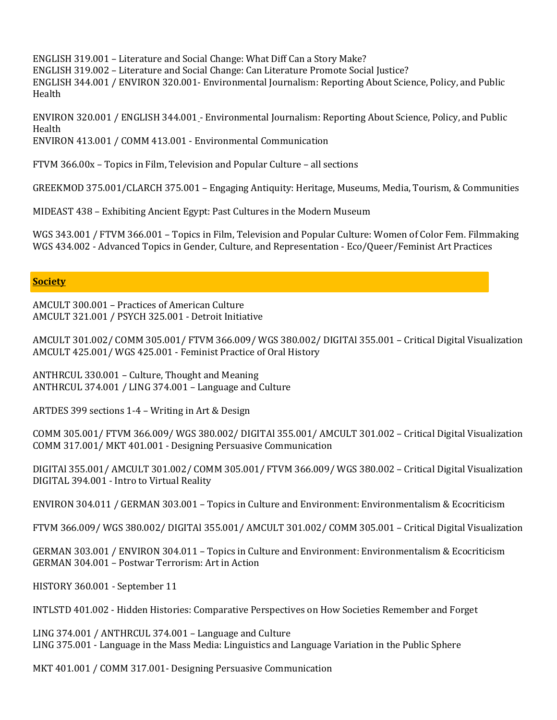ENGLISH 319.001 – Literature and Social Change: What Diff Can a Story Make? ENGLISH 319.002 – Literature and Social Change: Can Literature Promote Social Justice? ENGLISH 344.001 / ENVIRON 320.001- Environmental Journalism: Reporting About Science, Policy, and Public Health

ENVIRON 320.001 / ENGLISH 344.001 - Environmental Journalism: Reporting About Science, Policy, and Public Health ENVIRON 413.001 / COMM 413.001 - Environmental Communication

FTVM 366.00x – Topics in Film, Television and Popular Culture – all sections

GREEKMOD 375.001/CLARCH 375.001 – Engaging Antiquity: Heritage, Museums, Media, Tourism, & Communities

MIDEAST 438 – Exhibiting Ancient Egypt: Past Cultures in the Modern Museum

WGS 343.001 / FTVM 366.001 – Topics in Film, Television and Popular Culture: Women of Color Fem. Filmmaking WGS 434.002 - Advanced Topics in Gender, Culture, and Representation - Eco/Queer/Feminist Art Practices

## **Society**

AMCULT 300.001 – Practices of American Culture AMCULT 321.001 / PSYCH 325.001 - Detroit Initiative

AMCULT 301.002/ COMM 305.001/ FTVM 366.009/ WGS 380.002/ DIGITAl 355.001 – Critical Digital Visualization AMCULT 425.001/ WGS 425.001 - Feminist Practice of Oral History

ANTHRCUL 330.001 – Culture, Thought and Meaning ANTHRCUL 374.001 / LING 374.001 – Language and Culture

ARTDES 399 sections 1-4 – Writing in Art & Design

COMM 305.001/ FTVM 366.009/ WGS 380.002/ DIGITAl 355.001/ AMCULT 301.002 – Critical Digital Visualization COMM 317.001/ MKT 401.001 - Designing Persuasive Communication

DIGITAl 355.001/ AMCULT 301.002/ COMM 305.001/ FTVM 366.009/ WGS 380.002 – Critical Digital Visualization DIGITAL 394.001 - Intro to Virtual Reality

ENVIRON 304.011 / GERMAN 303.001 – Topics in Culture and Environment: Environmentalism & Ecocriticism

FTVM 366.009/ WGS 380.002/ DIGITAl 355.001/ AMCULT 301.002/ COMM 305.001 – Critical Digital Visualization

GERMAN 303.001 / ENVIRON 304.011 – Topics in Culture and Environment: Environmentalism & Ecocriticism GERMAN 304.001 – Postwar Terrorism: Art in Action

HISTORY 360.001 - September 11

INTLSTD 401.002 - Hidden Histories: Comparative Perspectives on How Societies Remember and Forget

LING 374.001 / ANTHRCUL 374.001 – Language and Culture LING 375.001 - Language in the Mass Media: Linguistics and Language Variation in the Public Sphere

MKT 401.001 / COMM 317.001- Designing Persuasive Communication